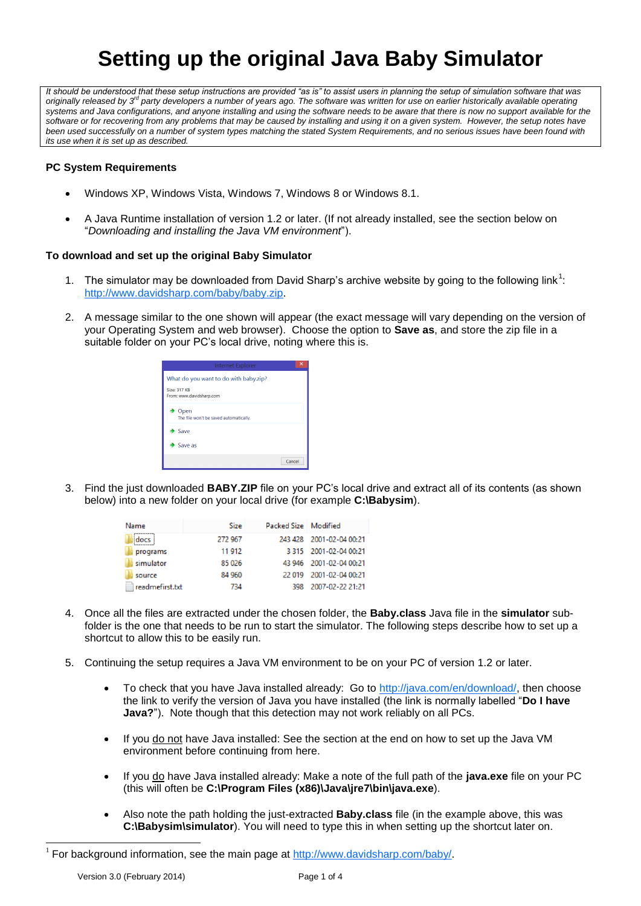# **Setting up the original Java Baby Simulator**

It should be understood that these setup instructions are provided "as is" to assist users in planning the setup of simulation software that was<br>originally released by 3<sup>d</sup> party developers a number of years ago. The softw *systems and Java configurations, and anyone installing and using the software needs to be aware that there is now no support available for the software or for recovering from any problems that may be caused by installing and using it on a given system. However, the setup notes have been used successfully on a number of system types matching the stated System Requirements, and no serious issues have been found with its use when it is set up as described.*

### **PC System Requirements**

- Windows XP, Windows Vista, Windows 7, Windows 8 or Windows 8.1.
- A Java Runtime installation of version 1.2 or later. (If not already installed, see the section below on "*Downloading and installing the Java VM environment*").

#### **To download and set up the original Baby Simulator**

- 1. The simulator may be downloaded from David Sharp's archive website by going to the following link<sup>1</sup>: [http://www.davidsharp.com/baby/baby.zip.](http://www.davidsharp.com/baby/baby.zip)
- 2. A message similar to the one shown will appear (the exact message will vary depending on the version of your Operating System and web browser). Choose the option to **Save as**, and store the zip file in a suitable folder on your PC's local drive, noting where this is.



3. Find the just downloaded **BABY.ZIP** file on your PC's local drive and extract all of its contents (as shown below) into a new folder on your local drive (for example **C:\Babysim**).

| Name            | Size    | <b>Packed Size   Modified</b> |                          |
|-----------------|---------|-------------------------------|--------------------------|
| docs            | 272 967 |                               | 243 428 2001-02-04 00:21 |
| programs        | 11 912  |                               | 3 315 2001-02-04 00:21   |
| simulator       | 85 0 26 |                               | 43 946 2001-02-04 00:21  |
| source          | 84 960  | 22.019                        | 2001-02-04 00:21         |
| readmefirst.txt | 734     | 398                           | 2007-02-22 21:21         |

- 4. Once all the files are extracted under the chosen folder, the **Baby.class** Java file in the **simulator** subfolder is the one that needs to be run to start the simulator. The following steps describe how to set up a shortcut to allow this to be easily run.
- 5. Continuing the setup requires a Java VM environment to be on your PC of version 1.2 or later.
	- To check that you have Java installed already: Go to [http://java.com/en/download/,](http://java.com/en/download/) then choose the link to verify the version of Java you have installed (the link is normally labelled "**Do I have Java?**"). Note though that this detection may not work reliably on all PCs.
	- If you do not have Java installed: See the section at the end on how to set up the Java VM environment before continuing from here.
	- If you do have Java installed already: Make a note of the full path of the **java.exe** file on your PC (this will often be **C:\Program Files (x86)\Java\jre7\bin\java.exe**).
	- Also note the path holding the just-extracted **Baby.class** file (in the example above, this was **C:\Babysim\simulator**). You will need to type this in when setting up the shortcut later on.

l

<sup>&</sup>lt;sup>1</sup> For background information, see the main page at  $\frac{http://www.davidsharp.com/baby/}{http://www.davidsharp.com/baby/}.$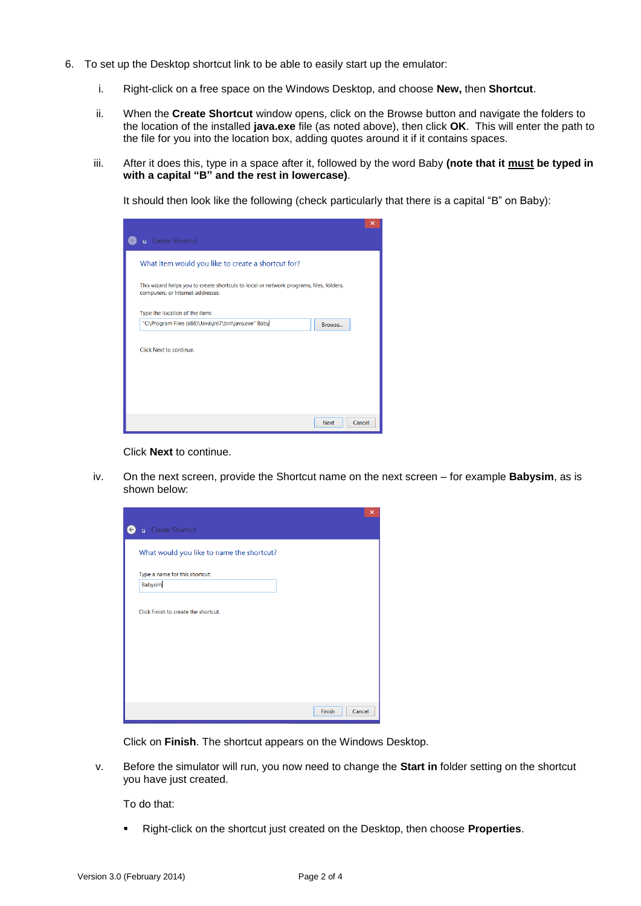- 6. To set up the Desktop shortcut link to be able to easily start up the emulator:
	- i. Right-click on a free space on the Windows Desktop, and choose **New,** then **Shortcut**.
	- ii. When the **Create Shortcut** window opens, click on the Browse button and navigate the folders to the location of the installed **java.exe** file (as noted above), then click **OK**. This will enter the path to the file for you into the location box, adding quotes around it if it contains spaces.
	- iii. After it does this, type in a space after it, followed by the word Baby **(note that it must be typed in with a capital "B" and the rest in lowercase)**.

It should then look like the following (check particularly that there is a capital "B" on Baby):

|                                                                                                                              | $\boldsymbol{\mathsf{x}}$ |
|------------------------------------------------------------------------------------------------------------------------------|---------------------------|
| <b>R</b> Create Shortcut                                                                                                     |                           |
| What item would you like to create a shortcut for?                                                                           |                           |
| This wizard helps you to create shortcuts to local or network programs, files, folders,<br>computers, or Internet addresses. |                           |
| Type the location of the item:                                                                                               |                           |
| "C:\Program Files (x86)\Java\jre7\bin\java.exe" Baby<br>Browse                                                               |                           |
| Click Next to continue.                                                                                                      |                           |
| <b>Next</b>                                                                                                                  | Cancel                    |

Click **Next** to continue.

iv. On the next screen, provide the Shortcut name on the next screen – for example **Babysim**, as is shown below:

| <b>A</b> Create Shortcut |                                      |                                           |  |  |  |
|--------------------------|--------------------------------------|-------------------------------------------|--|--|--|
|                          |                                      | What would you like to name the shortcut? |  |  |  |
|                          |                                      |                                           |  |  |  |
|                          | Type a name for this shortcut:       |                                           |  |  |  |
| Babysim                  |                                      |                                           |  |  |  |
|                          | Click Finish to create the shortcut. |                                           |  |  |  |
|                          |                                      |                                           |  |  |  |

Click on **Finish**. The shortcut appears on the Windows Desktop.

v. Before the simulator will run, you now need to change the **Start in** folder setting on the shortcut you have just created.

To do that:

Right-click on the shortcut just created on the Desktop, then choose **Properties**.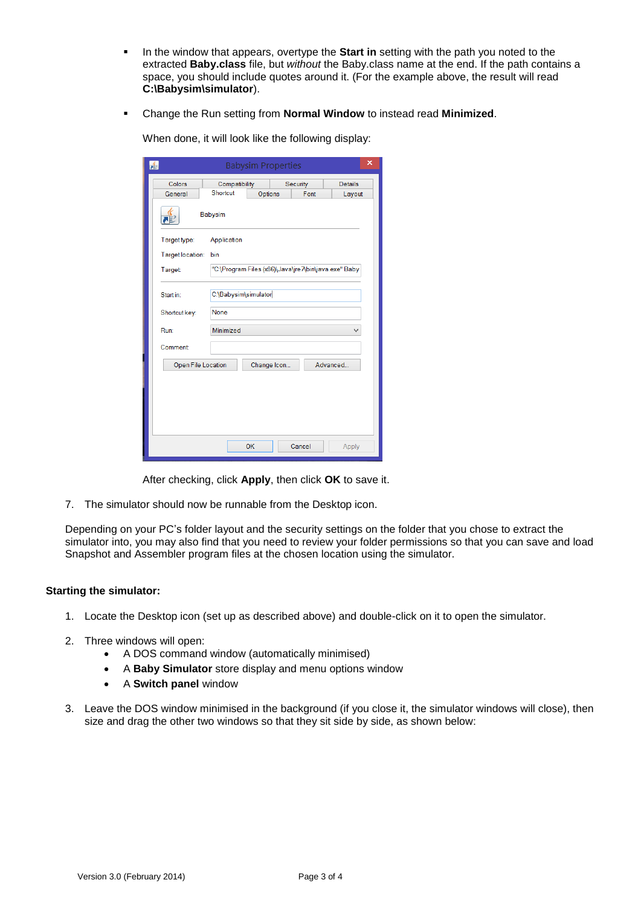- In the window that appears, overtype the **Start in** setting with the path you noted to the extracted **Baby.class** file, but *without* the Baby.class name at the end. If the path contains a space, you should include quotes around it. (For the example above, the result will read **C:\Babysim\simulator**).
- Change the Run setting from **Normal Window** to instead read **Minimized**.

| <b>Babysim Properties</b><br>矗 |                           |         |             |                                                      |                          |  |
|--------------------------------|---------------------------|---------|-------------|------------------------------------------------------|--------------------------|--|
| Colors<br>General              | Compatibility<br>Shortcut | Options |             | Security<br>Font                                     | <b>Details</b><br>Layout |  |
| Babysim                        |                           |         |             |                                                      |                          |  |
| Target type:                   | Application               |         |             |                                                      |                          |  |
|                                | Target location:<br>bin   |         |             |                                                      |                          |  |
| <b>Target:</b>                 |                           |         |             | "C:\Program Files (x86)\Java\jre7\bin\java.exe" Baby |                          |  |
| Start in:                      | C:\Babysim\simulator      |         |             |                                                      |                          |  |
| Shortcut key:                  | None                      |         |             |                                                      |                          |  |
| Run:                           | Minimized                 |         |             |                                                      | $\checkmark$             |  |
| <b>Comment</b>                 |                           |         |             |                                                      |                          |  |
| Open File Location             |                           |         | Change Icon |                                                      | Advanced                 |  |
|                                |                           |         |             |                                                      |                          |  |
|                                |                           |         |             |                                                      |                          |  |
|                                |                           |         |             |                                                      |                          |  |
|                                |                           |         |             |                                                      |                          |  |
|                                |                           | OK      |             | Cancel                                               | Apply                    |  |

When done, it will look like the following display:

After checking, click **Apply**, then click **OK** to save it.

7. The simulator should now be runnable from the Desktop icon.

Depending on your PC's folder layout and the security settings on the folder that you chose to extract the simulator into, you may also find that you need to review your folder permissions so that you can save and load Snapshot and Assembler program files at the chosen location using the simulator.

#### **Starting the simulator:**

- 1. Locate the Desktop icon (set up as described above) and double-click on it to open the simulator.
- 2. Three windows will open:
	- A DOS command window (automatically minimised)
	- A **Baby Simulator** store display and menu options window
	- A **Switch panel** window
- 3. Leave the DOS window minimised in the background (if you close it, the simulator windows will close), then size and drag the other two windows so that they sit side by side, as shown below: